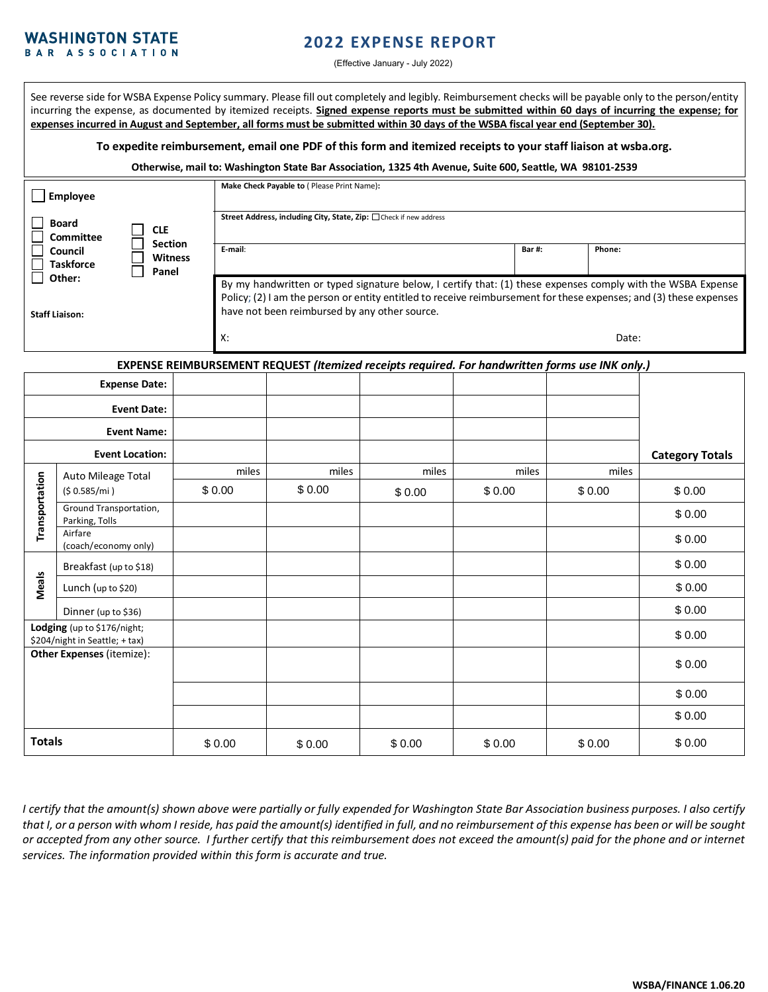#### **WASHINGTON STATE** BAR ASSOCIATION

# **2022 EXPENSE REPORT**

(Effective January - July 2022)

See reverse side for WSBA Expense Policy summary. Please fill out completely and legibly. Reimbursement checks will be payable only to the person/entity incurring the expense, as documented by itemized receipts. **Signed expense reports must be submitted within 60 days of incurring the expense; for expenses incurred in August and September, all forms must be submitted within 30 days of the WSBA fiscal year end (September 30).**

**To expedite reimbursement, email one PDF of this form and itemized receipts to your staff liaison at wsba.org.**

**Otherwise, mail to: Washington State Bar Association, 1325 4th Avenue, Suite 600, Seattle, WA 98101-2539**

| Employee                        |            |                                           | Make Check Payable to ( Please Print Name):                                                                                                                                                                                                                                        |              |        |  |  |
|---------------------------------|------------|-------------------------------------------|------------------------------------------------------------------------------------------------------------------------------------------------------------------------------------------------------------------------------------------------------------------------------------|--------------|--------|--|--|
| <b>Board</b><br>Committee       | <b>CLE</b> |                                           | Street Address, including City, State, Zip: □ Check if new address                                                                                                                                                                                                                 |              |        |  |  |
| Council<br><b>Taskforce</b>     |            | <b>Section</b><br><b>Witness</b><br>Panel | E-mail:                                                                                                                                                                                                                                                                            | <b>Bar#:</b> | Phone: |  |  |
| Other:<br><b>Staff Liaison:</b> |            |                                           | By my handwritten or typed signature below, I certify that: (1) these expenses comply with the WSBA Expense<br>Policy; (2) I am the person or entity entitled to receive reimbursement for these expenses; and (3) these expenses<br>have not been reimbursed by any other source. |              |        |  |  |
|                                 |            |                                           | X:                                                                                                                                                                                                                                                                                 |              | Date:  |  |  |

**EXPENSE REIMBURSEMENT REQUEST** *(Itemized receipts required. For handwritten forms use INK only.)* 

| <b>Expense Date:</b>                                          |                                          |        |        |        |        |        |                        |
|---------------------------------------------------------------|------------------------------------------|--------|--------|--------|--------|--------|------------------------|
| <b>Event Date:</b>                                            |                                          |        |        |        |        |        |                        |
| <b>Event Name:</b>                                            |                                          |        |        |        |        |        |                        |
| <b>Event Location:</b>                                        |                                          |        |        |        |        |        | <b>Category Totals</b> |
| Transportation                                                | Auto Mileage Total<br>(\$0.585/mi)       | miles  | miles  | miles  | miles  | miles  |                        |
|                                                               |                                          | \$0.00 | \$0.00 | \$0.00 | \$0.00 | \$0.00 | \$0.00                 |
|                                                               | Ground Transportation,<br>Parking, Tolls |        |        |        |        |        | \$0.00                 |
|                                                               | Airfare<br>(coach/economy only)          |        |        |        |        |        | \$0.00                 |
| Meals                                                         | Breakfast (up to \$18)                   |        |        |        |        |        | \$0.00                 |
|                                                               | Lunch (up to \$20)                       |        |        |        |        |        | \$0.00                 |
|                                                               | Dinner (up to \$36)                      |        |        |        |        |        | \$0.00                 |
| Lodging (up to \$176/night;<br>\$204/night in Seattle; + tax) |                                          |        |        |        |        |        | \$0.00                 |
| <b>Other Expenses (itemize):</b>                              |                                          |        |        |        |        |        | \$0.00                 |
|                                                               |                                          |        |        |        |        |        | \$0.00                 |
|                                                               |                                          |        |        |        |        |        | \$0.00                 |
| <b>Totals</b>                                                 |                                          | \$0.00 | \$0.00 | \$0.00 | \$0.00 | \$0.00 | \$0.00                 |

*I certify that the amount(s) shown above were partially or fully expended for Washington State Bar Association business purposes. I also certify that I, or a person with whom I reside, has paid the amount(s) identified in full, and no reimbursement of this expense has been or will be sought or accepted from any other source. I further certify that this reimbursement does not exceed the amount(s) paid for the phone and or internet services. The information provided within this form is accurate and true.*